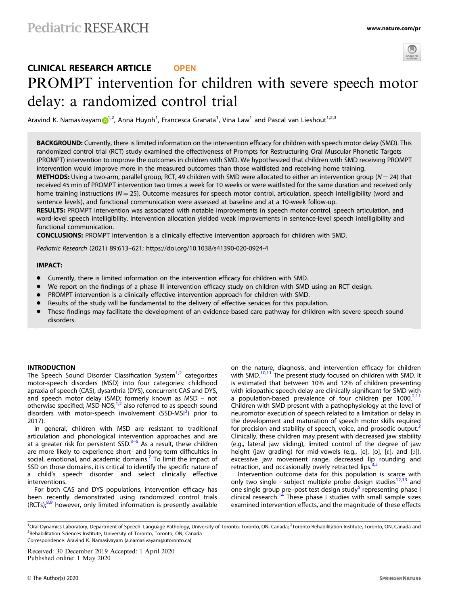

# CLINICAL RESEARCH ARTICLE **OPEN** PROMPT intervention for children with severe speech moto[r](http://crossmark.crossref.org/dialog/?doi=10.1038/s41390-020-0924-4&domain=pdf) delay: a randomized control trial

Aravind K. Na[m](http://orcid.org/0000-0002-9970-5478)asivayam $\bigcirc^{\!\!-1,2}$  $\bigcirc^{\!\!-1,2}$  $\bigcirc^{\!\!-1,2}$ , Anna Huynh<sup>1</sup>, Francesca Granata<sup>1</sup>, Vina Law<sup>1</sup> and Pascal van Lieshout<sup>1,2,3</sup>

BACKGROUND: Currently, there is limited information on the intervention efficacy for children with speech motor delay (SMD). This randomized control trial (RCT) study examined the effectiveness of Prompts for Restructuring Oral Muscular Phonetic Targets (PROMPT) intervention to improve the outcomes in children with SMD. We hypothesized that children with SMD receiving PROMPT intervention would improve more in the measured outcomes than those waitlisted and receiving home training.

**METHODS:** Using a two-arm, parallel group, RCT, 49 children with SMD were allocated to either an intervention group ( $N = 24$ ) that received 45 min of PROMPT intervention two times a week for 10 weeks or were waitlisted for the same duration and received only home training instructions ( $N = 25$ ). Outcome measures for speech motor control, articulation, speech intelligibility (word and sentence levels), and functional communication were assessed at baseline and at a 10-week follow-up.

RESULTS: PROMPT intervention was associated with notable improvements in speech motor control, speech articulation, and word-level speech intelligibility. Intervention allocation yielded weak improvements in sentence-level speech intelligibility and functional communication.

CONCLUSIONS: PROMPT intervention is a clinically effective intervention approach for children with SMD.

Pediatric Research (2021) 89:613–621; https://doi.org/10.1038/s41390-020-0924-4

## IMPACT:

- Currently, there is limited information on the intervention efficacy for children with SMD.
- We report on the findings of a phase III intervention efficacy study on children with SMD using an RCT design.
- PROMPT intervention is a clinically effective intervention approach for children with SMD.
- Results of the study will be fundamental to the delivery of effective services for this population.
- These findings may facilitate the development of an evidence-based care pathway for children with severe speech sound disorders.

## INTRODUCTION

The Speech Sound Disorder Classification System<sup>[1,2](#page-8-0)</sup> categorizes motor-speech disorders (MSD) into four categories: childhood apraxia of speech (CAS), dysarthria (DYS), concurrent CAS and DYS, and speech motor delay (SMD; formerly known as MSD – not otherwise specified; MSD-NOS; $^{1,2}$  $^{1,2}$  $^{1,2}$  $^{1,2}$  $^{1,2}$  also referred to as speech sound disorders with motor-speech involvement (SSD-MSI<sup>[3](#page-8-0)</sup>) prior to 2017).

In general, children with MSD are resistant to traditional articulation and phonological intervention approaches and are at a greater risk for persistent SSD. $3-6$  $3-6$  $3-6$  As a result, these children are more likely to experience short- and long-term difficulties in social, emotional, and academic domains.<sup>7</sup> To limit the impact of SSD on those domains, it is critical to identify the specific nature of a child's speech disorder and select clinically effective interventions.

For both CAS and DYS populations, intervention efficacy has been recently demonstrated using randomized control trials  $(RCTs),<sup>8,9</sup>$  however, only limited information is presently available on the nature, diagnosis, and intervention efficacy for children with SMD.<sup>[10,11](#page-8-0)</sup> The present study focused on children with SMD. It is estimated that between 10% and 12% of children presenting with idiopathic speech delay are clinically significant for SMD with a population-based prevalence of four children per  $1000^{2,11}$  $1000^{2,11}$  $1000^{2,11}$ Children with SMD present with a pathophysiology at the level of neuromotor execution of speech related to a limitation or delay in the development and maturation of speech motor skills required for precision and stability of speech, voice, and prosodic output. $2$ Clinically, these children may present with decreased jaw stability (e.g., lateral jaw sliding), limited control of the degree of jaw height (jaw grading) for mid-vowels (e.g., [e], [o], [ɛ], and [ɔ]), excessive jaw movement range, decreased lip rounding and retraction, and occasionally overly retracted lips.<sup>[3,5](#page-8-0)</sup>

Intervention outcome data for this population is scarce with only two single - subject multiple probe design studies $12,13$  and one single group pre–post test design study<sup>[5](#page-8-0)</sup> representing phase I clinical research.<sup>[14](#page-8-0)</sup> These phase I studies with small sample sizes examined intervention effects, and the magnitude of these effects

Received: 30 December 2019 Accepted: 1 April 2020 Published online: 1 May 2020

<sup>&</sup>lt;sup>1</sup>Oral Dynamics Laboratory, Department of Speech–Language Pathology, University of Toronto, Toronto, ON, Canada; <sup>2</sup>Toronto Rehabilitation Institute, Toronto, ON, Canada and <sup>3</sup>Rehabilitation Sciences Institute, University of Toronto, Toronto, ON, Canada Correspondence: Aravind K. Namasivayam ([a.namasivayam@utoronto.ca](mailto:a.namasivayam@utoronto.ca))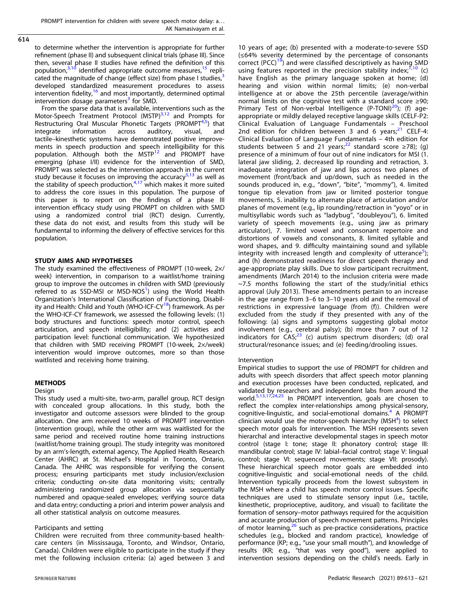to determine whether the intervention is appropriate for further refinement (phase II) and subsequent clinical trials (phase III). Since then, several phase II studies have refined the definition of this population, $3,10$  $3,10$  $3,10$  identified appropriate outcome measures,  $15$  replicated the magnitude of change (effect size) from phase I studies, $3$ developed standardized measurement procedures to assess intervention fidelity,<sup>[16](#page-8-0)</sup> and most importantly, determined optimal intervention dosage parameters $3$  for SMD.

From the sparse data that is available, interventions such as the Motor-Speech Treatment Protocol (MSTP)<sup>[3,12](#page-8-0)</sup> and Prompts for Restructuring Oral Muscular Phonetic Targets (PROMPT<sup>[4](#page-8-0),[5](#page-8-0)</sup>) that integrate information across auditory, visual, and tactile–kinesthetic systems have demonstrated positive improvements in speech production and speech intelligibility for this population. Although both the MSTP<sup>[12](#page-8-0)</sup> and PROMPT have emerging (phase I/II) evidence for the intervention of SMD, PROMPT was selected as the intervention approach in the current study because it focuses on improving the accuracy<sup>[5,13](#page-8-0)</sup> as well as the stability of speech production,<sup>[4,17](#page-8-0)</sup> which makes it more suited to address the core issues in this population. The purpose of this paper is to report on the findings of a phase III intervention efficacy study using PROMPT on children with SMD using a randomized control trial (RCT) design. Currently, these data do not exist, and results from this study will be fundamental to informing the delivery of effective services for this population.

## STUDY AIMS AND HYPOTHESES

The study examined the effectiveness of PROMPT (10-week, 2×/ week) intervention, in comparison to a waitlist/home training group to improve the outcomes in children with SMD (previously referred to as SSD-MSI or MSD-NOS<sup>[1](#page-8-0)</sup>) using the World Health Organization's International Classification of Functioning, Disabil-ity and Health: Child and Youth (WHO-ICF-CY<sup>[18](#page-8-0)</sup>) framework. As per the WHO-ICF-CY framework, we assessed the following levels: (1) body structures and functions: speech motor control, speech articulation, and speech intelligibility; and (2) activities and participation level: functional communication. We hypothesized that children with SMD receiving PROMPT (10-week, 2×/week) intervention would improve outcomes, more so than those waitlisted and receiving home training.

## **METHODS**

#### Design

This study used a multi-site, two-arm, parallel group, RCT design with concealed group allocations. In this study, both the investigator and outcome assessors were blinded to the group allocation. One arm received 10 weeks of PROMPT intervention (intervention group), while the other arm was waitlisted for the same period and received routine home training instructions (waitlist/home training group). The study integrity was monitored by an arm's-length, external agency, The Applied Health Research Center (AHRC) at St. Michael's Hospital in Toronto, Ontario, Canada. The AHRC was responsible for verifying the consent process; ensuring participants met study inclusion/exclusion criteria; conducting on-site data monitoring visits; centrally administering randomized group allocation via sequentially numbered and opaque-sealed envelopes; verifying source data and data entry; conducting a priori and interim power analysis and all other statistical analysis on outcome measures.

## Participants and setting

Children were recruited from three community-based healthcare centers (in Mississauga, Toronto, and Windsor, Ontario, Canada). Children were eligible to participate in the study if they met the following inclusion criteria: (a) aged between 3 and

10 years of age; (b) presented with a moderate-to-severe SSD (≤64% severity determined by the percentage of consonants correct (PCC)<sup>19</sup>) and were classified descriptively as having SMD using features reported in the precision stability index;  $^{7,10}$  $^{7,10}$  $^{7,10}$  (c) have English as the primary language spoken at home; (d) hearing and vision within normal limits; (e) non-verbal intelligence at or above the 25th percentile (average/within normal limits on the cognitive test with a standard score ≥90; Primary Test of Non-verbal Intelligence (P-TONI) $^{20}$ ); (f) ageappropriate or mildly delayed receptive language skills (CELF-P2: Clinical Evaluation of Language Fundamentals – Preschool 2nd edition for children between 3 and 6 years; $^{21}$  $^{21}$  $^{21}$  CELF-4: Clinical Evaluation of Language Fundamentals – 4th edition for students between 5 and 21 years;<sup>[22](#page-8-0)</sup> standard score  $\geq$ 78); (g) presence of a minimum of four out of nine indicators for MSI (1. lateral jaw sliding, 2. decreased lip rounding and retraction, 3. inadequate integration of jaw and lips across two planes of movement (front/back and up/down, such as needed in the sounds produced in, e.g., "down", "bite", "mommy"), 4. limited tongue tip elevation from jaw or limited posterior tongue movements, 5. inability to alternate place of articulation and/or planes of movement (e.g., lip rounding/retraction in "yoyo" or in multisyllabic words such as "ladybug", "doubleyou"), 6. limited variety of speech movements (e.g., using jaw as primary articulator), 7. limited vowel and consonant repertoire and distortions of vowels and consonants, 8. limited syllable and word shapes, and 9. difficulty maintaining sound and syllable integrity with increased length and complexity of utterance<sup>[5](#page-8-0)</sup>); and (h) demonstrated readiness for direct speech therapy and age-appropriate play skills. Due to slow participant recruitment, amendments (March 2014) to the inclusion criteria were made  $~1$ -7.5 months following the start of the study/initial ethics approval (July 2013). These amendments pertain to an increase in the age range from 3–6 to 3–10 years old and the removal of restrictions in expressive language (from (f)). Children were excluded from the study if they presented with any of the following: (a) signs and symptoms suggesting global motor involvement (e.g., cerebral palsy); (b) more than 7 out of 12 indicators for  $CAS<sub>1</sub><sup>23</sup>$  $CAS<sub>1</sub><sup>23</sup>$  $CAS<sub>1</sub><sup>23</sup>$  (c) autism spectrum disorders; (d) oral structural/resonance issues; and (e) feeding/drooling issues.

#### Intervention

Empirical studies to support the use of PROMPT for children and adults with speech disorders that affect speech motor planning and execution processes have been conducted, replicated, and validated by researchers and independent labs from around the world.<sup>5,13,17,[24,25](#page-8-0)</sup> In PROMPT intervention, goals are chosen to reflect the complex inter-relationships among physical-sensory, cognitive-linguistic, and social-emotional domains.<sup>[4](#page-8-0)</sup> A PROMPT clinician would use the motor-speech hierarchy (MSH $<sup>4</sup>$  $<sup>4</sup>$  $<sup>4</sup>$ ) to select</sup> speech motor goals for intervention. The MSH represents seven hierarchal and interactive developmental stages in speech motor control (stage I: tone; stage II: phonatory control; stage III: mandibular control; stage IV: labial–facial control; stage V: lingual control; stage VI: sequenced movements; stage VII: prosody). These hierarchical speech motor goals are embedded into cognitive-linguistic and social-emotional needs of the child. Intervention typically proceeds from the lowest subsystem in the MSH where a child has speech motor control issues. Specific techniques are used to stimulate sensory input (i.e., tactile, kinesthetic, proprioceptive, auditory, and visual) to facilitate the formation of sensory–motor pathways required for the acquisition and accurate production of speech movement patterns. Principles of motor learning, $^{26}$  $^{26}$  $^{26}$  such as pre-practice considerations, practice schedules (e.g., blocked and random practice), knowledge of performance (KP; e.g., "use your small mouth"), and knowledge of results (KR; e.g., "that was very good"), were applied to intervention sessions depending on the child's needs. Early in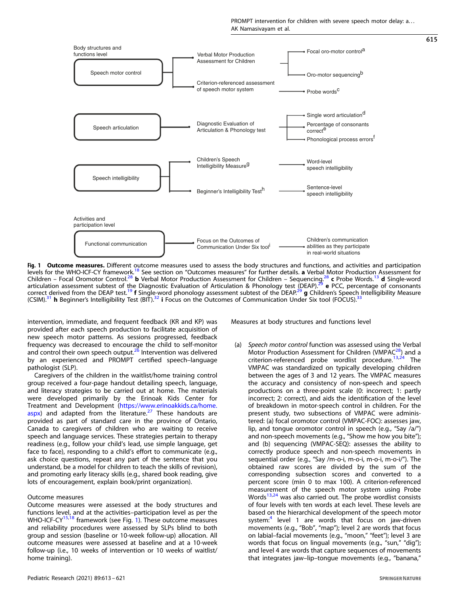

Fig. 1 Outcome measures. Different outcome measures used to assess the body structures and functions, and activities and participation levels for the WHO-ICF-CY framework.[18](#page-8-0) See section on "Outcomes measures" for further details. a Verbal Motor Production Assessment for Children – Focal Oromotor Control.<sup>[28](#page-8-0)</sup> b Verbal Motor Production Assessment for Children – Sequencing.<sup>28</sup> c Probe Words.<sup>[13](#page-8-0)</sup> d Single-word articulation assessment subtest of the Diagnostic Evaluation of Articulation & Phonology test (DEAP).<sup>[29](#page-8-0)</sup> e PCC, percentage of consonants correct derived from the DEAP test.<sup>[19](#page-8-0)</sup> f Single-word phonology assessment subtest of the DEAP.<sup>[29](#page-8-0)</sup> g Children's Speech Intelligibility Measure  $(CSIM).<sup>31</sup>$  $(CSIM).<sup>31</sup>$  $(CSIM).<sup>31</sup>$  h Beginner's Intelligibility Test (BIT).<sup>32</sup> i Focus on the Outcomes of Communication Under Six tool (FOCUS).<sup>3</sup>

intervention, immediate, and frequent feedback (KR and KP) was provided after each speech production to facilitate acquisition of new speech motor patterns. As sessions progressed, feedback frequency was decreased to encourage the child to self-monitor and control their own speech output.<sup>[26](#page-8-0)</sup> Intervention was delivered by an experienced and PROMPT certified speech–language pathologist (SLP).

Caregivers of the children in the waitlist/home training control group received a four-page handout detailing speech, language, and literacy strategies to be carried out at home. The materials were developed primarily by the Erinoak Kids Center for Treatment and Development [\(https://www.erinoakkids.ca/home.](https://www.erinoakkids.ca/home.aspx)  $a$ spx) and adapted from the literature.<sup>[27](#page-8-0)</sup> These handouts are provided as part of standard care in the province of Ontario, Canada to caregivers of children who are waiting to receive speech and language services. These strategies pertain to therapy readiness (e.g., follow your child's lead, use simple language, get face to face), responding to a child's effort to communicate (e.g., ask choice questions, repeat any part of the sentence that you understand, be a model for children to teach the skills of revision), and promoting early literacy skills (e.g., shared book reading, give lots of encouragement, explain book/print organization).

#### Outcome measures

Outcome measures were assessed at the body structures and functions level, and at the activities–participation level as per the WHO-ICF-CY $^{15,18}$  $^{15,18}$  $^{15,18}$  framework (see Fig. 1). These outcome measures and reliability procedures were assessed by SLPs blind to both group and session (baseline or 10-week follow-up) allocation. All outcome measures were assessed at baseline and at a 10-week follow-up (i.e., 10 weeks of intervention or 10 weeks of waitlist/ home training).

Measures at body structures and functions level

(a) Speech motor control function was assessed using the Verbal Motor Production Assessment for Children (VMPAC<sup>28</sup>) and a criterion-referenced probe wordlist procedure.<sup>[13](#page-8-0),[24](#page-8-0)</sup> The VMPAC was standardized on typically developing children between the ages of 3 and 12 years. The VMPAC measures the accuracy and consistency of non-speech and speech productions on a three-point scale (0: incorrect; 1: partly incorrect; 2: correct), and aids the identification of the level of breakdown in motor-speech control in children. For the present study, two subsections of VMPAC were administered: (a) focal oromotor control (VMPAC-FOC): assesses jaw, lip, and tongue oromotor control in speech (e.g., "Say /a/") and non-speech movements (e.g., "Show me how you bite"); and (b) sequencing (VMPAC-SEQ): assesses the ability to correctly produce speech and non-speech movements in sequential order (e.g., "Say /m-o-i, m-o-i, m-o-i, m-o-i/"). The obtained raw scores are divided by the sum of the corresponding subsection scores and converted to a percent score (min 0 to max 100). A criterion-referenced measurement of the speech motor system using Probe Words<sup>[13,24](#page-8-0)</sup> was also carried out. The probe wordlist consists of four levels with ten words at each level. These levels are based on the hierarchical development of the speech motor system:<sup>[4](#page-8-0)</sup> level 1 are words that focus on jaw-driven movements (e.g., "Bob", "map"); level 2 are words that focus on labial–facial movements (e.g., "moon," "feet"); level 3 are words that focus on lingual movements (e.g., "sun," "dig"); and level 4 are words that capture sequences of movements that integrates jaw–lip–tongue movements (e.g., "banana,"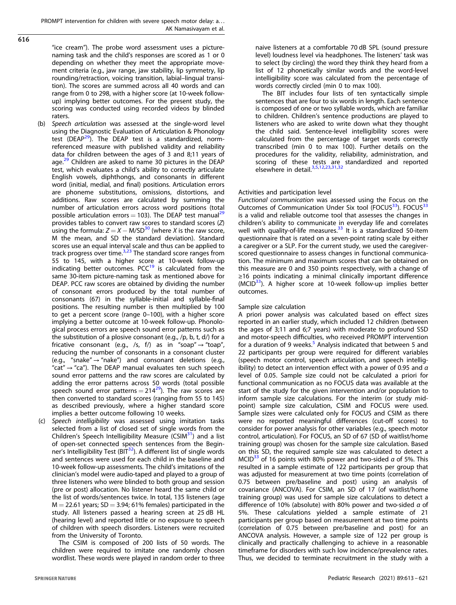"ice cream"). The probe word assessment uses a picturenaming task and the child's responses are scored as 1 or 0 depending on whether they meet the appropriate movement criteria (e.g., jaw range, jaw stability, lip symmetry, lip rounding/retraction, voicing transition, labial–lingual transition). The scores are summed across all 40 words and can range from 0 to 298, with a higher score (at 10-week followup) implying better outcomes. For the present study, the scoring was conducted using recorded videos by blinded raters.

- (b) Speech articulation was assessed at the single-word level using the Diagnostic Evaluation of Articulation & Phonology test (DEAP $^{29}$  $^{29}$  $^{29}$ ). The DEAP test is a standardized, normreferenced measure with published validity and reliability data for children between the ages of 3 and 8;11 years of age.<sup>29</sup> Children are asked to name 30 pictures in the DEAP test, which evaluates a child's ability to correctly articulate English vowels, diphthongs, and consonants in different word (initial, medial, and final) positions. Articulation errors are phoneme substitutions, omissions, distortions, and additions. Raw scores are calculated by summing the number of articulation errors across word positions (total possible articulation errors = 103). The DEAP test manual<sup>[29](#page-8-0)</sup> provides tables to convert raw scores to standard scores (Z) using the formula:  $Z = X - M/SD^{30}$  $Z = X - M/SD^{30}$  $Z = X - M/SD^{30}$  (where X is the raw score, M the mean, and SD the standard deviation). Standard scores use an equal interval scale and thus can be applied to track progress over time.<sup>[3,23](#page-8-0)</sup> The standard score ranges from 55 to 145, with a higher score at 10-week follow-up indicating better outcomes. PCC $<sup>19</sup>$  $<sup>19</sup>$  $<sup>19</sup>$  is calculated from the</sup> same 30-item picture-naming task as mentioned above for DEAP. PCC raw scores are obtained by dividing the number of consonant errors produced by the total number of consonants (67) in the syllable-initial and syllable-final positions. The resulting number is then multiplied by 100 to get a percent score (range 0–100), with a higher score implying a better outcome at 10-week follow-up. Phonological process errors are speech sound error patterns such as the substitution of a plosive consonant (e.g., /p, b, t, d/) for a fricative consonant (e.g., /s, f/) as in "soap"  $\rightarrow$  "toap", reducing the number of consonants in a consonant cluster (e.g., "snake"  $\rightarrow$  "nake") and consonant deletions (e.g., "cat"  $\rightarrow$  "ca"). The DEAP manual evaluates ten such speech sound error patterns and the raw scores are calculated by adding the error patterns across 50 words (total possible speech sound error patterns  $= 214^{29}$  $= 214^{29}$  $= 214^{29}$ ). The raw scores are then converted to standard scores (ranging from 55 to 145) as described previously, where a higher standard score implies a better outcome following 10 weeks.
- (c) Speech intelligibility was assessed using imitation tasks selected from a list of closed set of single words from the Children's Speech Intelligibility Measure (CSIM $31$ ) and a list of open-set connected speech sentences from the Beginner's Intelligibility Test ( $BIT<sup>32</sup>$  $BIT<sup>32</sup>$  $BIT<sup>32</sup>$ ). A different list of single words and sentences were used for each child in the baseline and 10-week follow-up assessments. The child's imitations of the clinician's model were audio-taped and played to a group of three listeners who were blinded to both group and session (pre or post) allocation. No listener heard the same child or the list of words/sentences twice. In total, 135 listeners (age  $M = 22.61$  years; SD = 3.94; 61% females) participated in the study. All listeners passed a hearing screen at 25 dB HL (hearing level) and reported little or no exposure to speech of children with speech disorders. Listeners were recruited from the University of Toronto.

The CSIM is composed of 200 lists of 50 words. The children were required to imitate one randomly chosen wordlist. These words were played in random order to three

The BIT includes four lists of ten syntactically simple sentences that are four to six words in length. Each sentence is composed of one or two syllable words, which are familiar to children. Children's sentence productions are played to listeners who are asked to write down what they thought the child said. Sentence-level intelligibility scores were calculated from the percentage of target words correctly transcribed (min 0 to max 100). Further details on the procedures for the validity, reliability, administration, and scoring of these tests are standardized and reported<br>elsewhere in detail.<sup>3,5,12,23,31,32</sup>

## Activities and participation level

Functional communication was assessed using the Focus on the Outcomes of Communication Under Six tool (FOCUS<sup>[33](#page-8-0)</sup>). FOCUS<sup>33</sup> is a valid and reliable outcome tool that assesses the changes in children's ability to communicate in everyday life and correlates well with quality-of-life measures. $33$  It is a standardized 50-item questionnaire that is rated on a seven-point rating scale by either a caregiver or a SLP. For the current study, we used the caregiverscored questionnaire to assess changes in functional communication. The minimum and maximum scores that can be obtained on this measure are 0 and 350 points respectively, with a change of ≥16 points indicating a minimal clinically important difference  $(MCID<sup>33</sup>)$ . A higher score at 10-week follow-up implies better outcomes.

## Sample size calculation

A priori power analysis was calculated based on effect sizes reported in an earlier study, which included 12 children (between the ages of 3;11 and 6;7 years) with moderate to profound SSD and motor-speech difficulties, who received PROMPT intervention for a duration of 9 weeks.<sup>5</sup> Analysis indicated that between 5 and 22 participants per group were required for different variables (speech motor control, speech articulation, and speech intelligibility) to detect an intervention effect with a power of 0.95 and  $\alpha$ level of 0.05. Sample size could not be calculated a priori for functional communication as no FOCUS data was available at the start of the study for the given intervention and/or population to inform sample size calculations. For the interim (or study midpoint) sample size calculation, CSIM and FOCUS were used. Sample sizes were calculated only for FOCUS and CSIM as there were no reported meaningful differences (cut-off scores) to consider for power analysis for other variables (e.g., speech motor control, articulation). For FOCUS, an SD of 67 (SD of waitlist/home training group) was chosen for the sample size calculation. Based on this SD, the required sample size was calculated to detect a MCID<sup>[33](#page-8-0)</sup> of 16 points with 80% power and two-sided  $\alpha$  of 5%. This resulted in a sample estimate of 122 participants per group that was adjusted for measurement at two time points (correlation of 0.75 between pre/baseline and post) using an analysis of covariance (ANCOVA). For CSIM, an SD of 17 (of waitlist/home training group) was used for sample size calculations to detect a difference of 10% (absolute) with 80% power and two-sided α of 5%. These calculations yielded a sample estimate of 21 participants per group based on measurement at two time points (correlation of 0.75 between pre/baseline and post) for an ANCOVA analysis. However, a sample size of 122 per group is clinically and practically challenging to achieve in a reasonable timeframe for disorders with such low incidence/prevalence rates. Thus, we decided to terminate recruitment in the study with a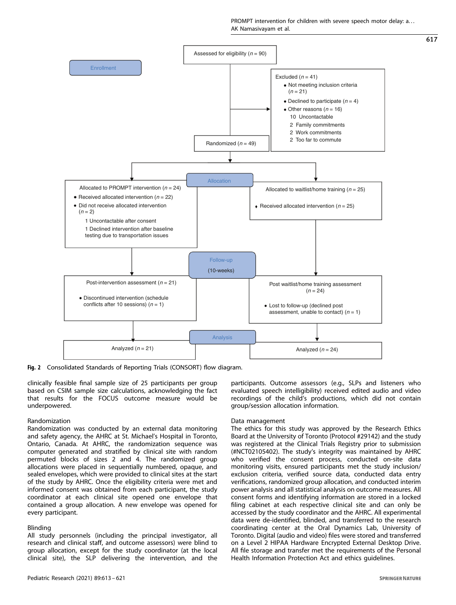PROMPT intervention for children with severe speech motor delay: a... AK Namasivayam et al.

<span id="page-4-0"></span>

Fig. 2 Consolidated Standards of Reporting Trials (CONSORT) flow diagram.

clinically feasible final sample size of 25 participants per group based on CSIM sample size calculations, acknowledging the fact that results for the FOCUS outcome measure would be underpowered.

#### Randomization

Randomization was conducted by an external data monitoring and safety agency, the AHRC at St. Michael's Hospital in Toronto, Ontario, Canada. At AHRC, the randomization sequence was computer generated and stratified by clinical site with random permuted blocks of sizes 2 and 4. The randomized group allocations were placed in sequentially numbered, opaque, and sealed envelopes, which were provided to clinical sites at the start of the study by AHRC. Once the eligibility criteria were met and informed consent was obtained from each participant, the study coordinator at each clinical site opened one envelope that contained a group allocation. A new envelope was opened for every participant.

#### Blinding

All study personnels (including the principal investigator, all research and clinical staff, and outcome assessors) were blind to group allocation, except for the study coordinator (at the local clinical site), the SLP delivering the intervention, and the participants. Outcome assessors (e.g., SLPs and listeners who evaluated speech intelligibility) received edited audio and video recordings of the child's productions, which did not contain group/session allocation information.

#### Data management

The ethics for this study was approved by the Research Ethics Board at the University of Toronto (Protocol #29142) and the study was registered at the Clinical Trials Registry prior to submission (#NCT02105402). The study's integrity was maintained by AHRC who verified the consent process, conducted on-site data monitoring visits, ensured participants met the study inclusion/ exclusion criteria, verified source data, conducted data entry verifications, randomized group allocation, and conducted interim power analysis and all statistical analysis on outcome measures. All consent forms and identifying information are stored in a locked filing cabinet at each respective clinical site and can only be accessed by the study coordinator and the AHRC. All experimental data were de-identified, blinded, and transferred to the research coordinating center at the Oral Dynamics Lab, University of Toronto. Digital (audio and video) files were stored and transferred on a Level 2 HIPAA Hardware Encrypted External Desktop Drive. All file storage and transfer met the requirements of the Personal Health Information Protection Act and ethics guidelines.

**SPRINGER NATURE**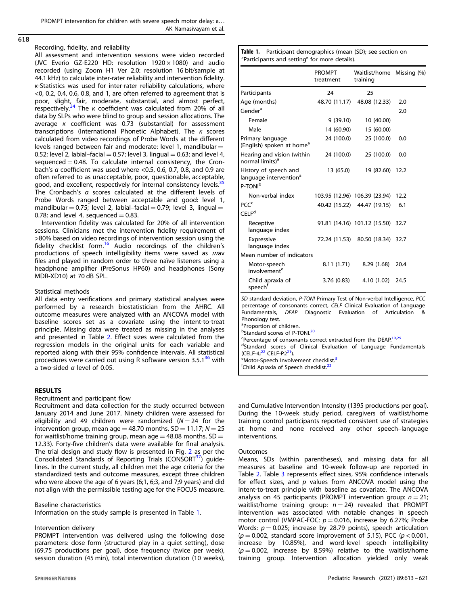## Recording, fidelity, and reliability

618

All assessment and intervention sessions were video recorded (JVC Everio GZ-E220 HD: resolution  $1920 \times 1080$ ) and audio recorded (using Zoom H1 Ver 2.0: resolution 16 bit/sample at 44.1 kHz) to calculate inter-rater reliability and intervention fidelity. κ-Statistics was used for inter-rater reliability calculations, where <0, 0.2, 0.4, 0.6, 0.8, and 1, are often referred to agreement that is poor, slight, fair, moderate, substantial, and almost perfect,<br>respectively.<sup>[34](#page-8-0)</sup> The κ coefficient was calculated from 20% of all data by SLPs who were blind to group and session allocations. The average κ coefficient was 0.73 (substantial) for assessment transcriptions (International Phonetic Alphabet). The κ scores calculated from video recordings of Probe Words at the different levels ranged between fair and moderate: level 1, mandibular  $=$ 0.52; level 2, labial–facial  $= 0.57$ ; level 3, lingual  $= 0.63$ ; and level 4, sequenced  $= 0.48$ . To calculate internal consistency, the Cronbach's α coefficient was used where <0.5, 0.6, 0.7, 0.8, and 0.9 are often referred to as unacceptable, poor, questionable, acceptable, good, and excellent, respectively for internal consistency levels.<sup>[35](#page-8-0)</sup> The Cronbach's α scores calculated at the different levels of Probe Words ranged between acceptable and good: level 1, mandibular =  $0.75$ ; level 2, labial-facial = 0.79; level 3, lingual = 0.78; and level 4, sequenced  $= 0.83$ .

Intervention fidelity was calculated for 20% of all intervention sessions. Clinicians met the intervention fidelity requirement of >80% based on video recordings of intervention session using the fidelity checklist form.<sup>[16](#page-8-0)</sup> Audio recordings of the children's productions of speech intelligibility items were saved as .wav files and played in random order to three naïve listeners using a headphone amplifier (PreSonus HP60) and headphones (Sony MDR-XD10) at 70 dB SPL.

## Statistical methods

All data entry verifications and primary statistical analyses were performed by a research biostatistician from the AHRC. All outcome measures were analyzed with an ANCOVA model with baseline scores set as a covariate using the intent-to-treat principle. Missing data were treated as missing in the analyses and presented in Table [2](#page-6-0). Effect sizes were calculated from the regression models in the original units for each variable and reported along with their 95% confidence intervals. All statistical procedures were carried out using R software version 3.5.1<sup>36</sup> with a two-sided  $\alpha$  level of 0.05.

## RESULTS

#### Recruitment and participant flow

Recruitment and data collection for the study occurred between January 2014 and June 2017. Ninety children were assessed for eligibility and 49 children were randomized  $(N = 24$  for the intervention group, mean age = 48.70 months,  $SD = 11.17$ ;  $N = 25$ for waitlist/home training group, mean age  $=$  48.08 months, SD  $=$ 12.33). Forty-five children's data were available for final analysis. The trial design and study flow is presented in Fig. [2](#page-4-0) as per the Consolidated Standards of Reporting Trials (CONSORT<sup>37</sup>) guidelines. In the current study, all children met the age criteria for the standardized tests and outcome measures, except three children who were above the age of 6 years (6;1, 6;3, and 7;9 years) and did not align with the permissible testing age for the FOCUS measure.

### Baseline characteristics

Information on the study sample is presented in Table 1.

## Intervention delivery

PROMPT intervention was delivered using the following dose parameters: dose form (structured play in a quiet setting), dose (69.75 productions per goal), dose frequency (twice per week), session duration (45 min), total intervention duration (10 weeks),

|                                               | Table 1. Participant demographics (mean (SD); see section on |  |  |  |  |
|-----------------------------------------------|--------------------------------------------------------------|--|--|--|--|
| "Participants and setting" for more details). |                                                              |  |  |  |  |

|                                                                                                                                                                                                                                                                                                                                                                                                                                                                                                                                                                                                                                                                                                                                 | <b>PROMPT</b><br>treatment | Waitlist/home<br>training         | Missing (%) |  |  |  |
|---------------------------------------------------------------------------------------------------------------------------------------------------------------------------------------------------------------------------------------------------------------------------------------------------------------------------------------------------------------------------------------------------------------------------------------------------------------------------------------------------------------------------------------------------------------------------------------------------------------------------------------------------------------------------------------------------------------------------------|----------------------------|-----------------------------------|-------------|--|--|--|
| Participants                                                                                                                                                                                                                                                                                                                                                                                                                                                                                                                                                                                                                                                                                                                    | 24                         | 25                                |             |  |  |  |
| Age (months)                                                                                                                                                                                                                                                                                                                                                                                                                                                                                                                                                                                                                                                                                                                    |                            | 48.70 (11.17) 48.08 (12.33)       | 2.0         |  |  |  |
| Gender <sup>a</sup>                                                                                                                                                                                                                                                                                                                                                                                                                                                                                                                                                                                                                                                                                                             |                            |                                   | 2.0         |  |  |  |
| Female                                                                                                                                                                                                                                                                                                                                                                                                                                                                                                                                                                                                                                                                                                                          | 9(39.10)                   | 10 (40.00)                        |             |  |  |  |
| Male                                                                                                                                                                                                                                                                                                                                                                                                                                                                                                                                                                                                                                                                                                                            | 14 (60.90)                 | 15 (60.00)                        |             |  |  |  |
| Primary language<br>(English) spoken at home <sup>a</sup>                                                                                                                                                                                                                                                                                                                                                                                                                                                                                                                                                                                                                                                                       | 24 (100.0)                 | 25 (100.0)                        | 0.0         |  |  |  |
| Hearing and vision (within<br>normal limits) <sup>a</sup>                                                                                                                                                                                                                                                                                                                                                                                                                                                                                                                                                                                                                                                                       | 24 (100.0)                 | 25 (100.0)                        | 0.0         |  |  |  |
| History of speech and<br>language intervention <sup>a</sup><br>P-TONI <sup>b</sup>                                                                                                                                                                                                                                                                                                                                                                                                                                                                                                                                                                                                                                              | 13 (65.0)                  | 19 (82.60) 12.2                   |             |  |  |  |
| Non-verbal index                                                                                                                                                                                                                                                                                                                                                                                                                                                                                                                                                                                                                                                                                                                |                            | 103.95 (12.96) 106.39 (23.94)     | 12.2        |  |  |  |
| PCC <sup>c</sup>                                                                                                                                                                                                                                                                                                                                                                                                                                                                                                                                                                                                                                                                                                                |                            | 40.42 (15.22) 44.47 (19.15)       | 6.1         |  |  |  |
| CELF <sup>d</sup>                                                                                                                                                                                                                                                                                                                                                                                                                                                                                                                                                                                                                                                                                                               |                            |                                   |             |  |  |  |
| Receptive<br>language index                                                                                                                                                                                                                                                                                                                                                                                                                                                                                                                                                                                                                                                                                                     |                            | 91.81 (14.16) 101.12 (15.50) 32.7 |             |  |  |  |
| Expressive<br>language index                                                                                                                                                                                                                                                                                                                                                                                                                                                                                                                                                                                                                                                                                                    |                            | 72.24 (11.53) 80.50 (18.34) 32.7  |             |  |  |  |
| Mean number of indicators                                                                                                                                                                                                                                                                                                                                                                                                                                                                                                                                                                                                                                                                                                       |                            |                                   |             |  |  |  |
| Motor-speech<br>involvement <sup>e</sup>                                                                                                                                                                                                                                                                                                                                                                                                                                                                                                                                                                                                                                                                                        | 8.11 (1.71)                | 8.29 (1.68)                       | 20.4        |  |  |  |
| Child apraxia of<br>speech <sup>†</sup>                                                                                                                                                                                                                                                                                                                                                                                                                                                                                                                                                                                                                                                                                         | 3.76(0.83)                 | 4.10 (1.02)                       | 24.5        |  |  |  |
| SD standard deviation, P-TONI Primary Test of Non-verbal Intelligence, PCC<br>percentage of consonants correct, CELF Clinical Evaluation of Language<br>Fundamentals,<br><b>DEAP</b><br>Diagnostic<br>Evaluation<br>of<br>Articulation<br>&<br>Phonology test.<br><sup>a</sup> Proportion of children.<br><sup>b</sup> Standard scores of P-TONI. <sup>20</sup><br><sup>c</sup> Percentage of consonants correct extracted from the DEAP. <sup>19,29</sup><br><sup>d</sup> Standard scores of Clinical Evaluation of Language Fundamentals<br>(CELF-4; <sup>22</sup> CELF-P2 <sup>21</sup> ).<br><sup>e</sup> Motor-Speech Involvement checklist. <sup>5</sup><br><sup>f</sup> Child Apraxia of Speech checklist. <sup>23</sup> |                            |                                   |             |  |  |  |

and Cumulative Intervention Intensity (1395 productions per goal). During the 10-week study period, caregivers of waitlist/home training control participants reported consistent use of strategies at home and none received any other speech–language interventions.

#### **Outcomes**

Means, SDs (within parentheses), and missing data for all measures at baseline and 10-week follow-up are reported in Table [2](#page-6-0). Table [3](#page-7-0) represents effect sizes, 95% confidence intervals for effect sizes, and  $p$  values from ANCOVA model using the intent-to-treat principle with baseline as covariate. The ANCOVA analysis on 45 participants (PROMPT intervention group:  $n = 21$ ; waitlist/home training group:  $n = 24$ ) revealed that PROMPT intervention was associated with notable changes in speech motor control (VMPAC-FOC:  $p = 0.016$ , increase by 6.27%; Probe Words:  $p = 0.025$ ; increase by 28.79 points), speech articulation  $(p = 0.002$ , standard score improvement of 5.15), PCC ( $p < 0.001$ , increase by 10.85%), and word-level speech intelligibility  $(p = 0.002,$  increase by 8.59%) relative to the waitlist/home training group. Intervention allocation yielded only weak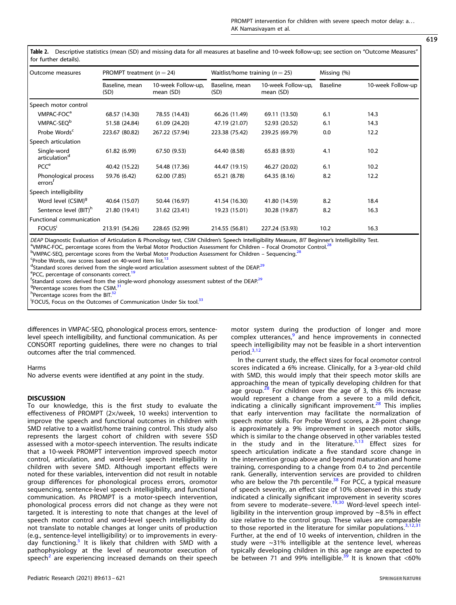| for further details).                       |                               |                                 |                                     |                                 |                 |                   |  |
|---------------------------------------------|-------------------------------|---------------------------------|-------------------------------------|---------------------------------|-----------------|-------------------|--|
| Outcome measures                            | PROMPT treatment ( $n = 24$ ) |                                 | Waitlist/home training ( $n = 25$ ) |                                 | Missing (%)     |                   |  |
|                                             | Baseline, mean<br>(SD)        | 10-week Follow-up,<br>mean (SD) | Baseline, mean<br>(SD)              | 10-week Follow-up,<br>mean (SD) | <b>Baseline</b> | 10-week Follow-up |  |
| Speech motor control                        |                               |                                 |                                     |                                 |                 |                   |  |
| VMPAC-FOC <sup>a</sup>                      | 68.57 (14.30)                 | 78.55 (14.43)                   | 66.26 (11.49)                       | 69.11 (13.50)                   | 6.1             | 14.3              |  |
| VMPAC-SEQ <sup>b</sup>                      | 51.58 (24.84)                 | 61.09 (24.20)                   | 47.19 (21.07)                       | 52.93 (20.52)                   | 6.1             | 14.3              |  |
| Probe Words <sup>c</sup>                    | 223.67 (80.82)                | 267.22 (57.94)                  | 223.38 (75.42)                      | 239.25 (69.79)                  | 0.0             | 12.2              |  |
| Speech articulation                         |                               |                                 |                                     |                                 |                 |                   |  |
| Single-word<br>articulation <sup>d</sup>    | 61.82 (6.99)                  | 67.50 (9.53)                    | 64.40 (8.58)                        | 65.83 (8.93)                    | 4.1             | 10.2              |  |
| PCC <sup>e</sup>                            | 40.42 (15.22)                 | 54.48 (17.36)                   | 44.47 (19.15)                       | 46.27 (20.02)                   | 6.1             | 10.2              |  |
| Phonological process<br>errors <sup>t</sup> | 59.76 (6.42)                  | 62.00 (7.85)                    | 65.21 (8.78)                        | 64.35 (8.16)                    | 8.2             | 12.2              |  |
| Speech intelligibility                      |                               |                                 |                                     |                                 |                 |                   |  |
| Word level (CSIM) <sup>g</sup>              | 40.64 (15.07)                 | 50.44 (16.97)                   | 41.54 (16.30)                       | 41.80 (14.59)                   | 8.2             | 18.4              |  |
| Sentence level (BIT) <sup>h</sup>           | 21.80 (19.41)                 | 31.62 (23.41)                   | 19.23 (15.01)                       | 30.28 (19.87)                   | 8.2             | 16.3              |  |
| Functional communication                    |                               |                                 |                                     |                                 |                 |                   |  |
| FOCUS'                                      | 213.91 (54.26)                | 228.65 (52.99)                  | 214.55 (56.81)                      | 227.24 (53.93)                  | 10.2            | 16.3              |  |

<span id="page-6-0"></span>Table 2. Descriptive statistics (mean (SD) and missing data for all measures at baseline and 10-week follow-up; see section on "Outcome Measures" for further details).

DEAP Diagnostic Evaluation of Articulation & Phonology test, CSIM Children's Speech Intelligibility Measure, BIT Beginner's Intelligibility Test.

<sup>a</sup>VMPAC-FOC, percentage scores from the Verbal Motor Production Assessment for Children – Focal Oromotor Control.<sup>[28](#page-8-0)</sup>

bVMPAC-SEQ, percentage scores from the Verbal Motor Production Assessment for Children – Sequencing.<sup>[28](#page-8-0)</sup>

<sup>c</sup>Probe Words, raw scores based on 40-word item list.<sup>[13](#page-8-0)</sup>

<sup>d</sup>Standard scores derived from the single-word articulation assessment subtest of the DEAP.<sup>[29](#page-8-0)</sup>

<sup>e</sup>PCC, percentage of consonants correct.<sup>[19](#page-8-0)</sup>

<sup>f</sup>Standard scores derived from the single-word phonology assessment subtest of the DEAP.<sup>[29](#page-8-0)</sup>

<sup>g</sup>Percentage scores from the CSIM.<sup>[31](#page-8-0)</sup>

<sup>h</sup>Percentage scores from the BIT.<sup>[32](#page-8-0)</sup>

FOCUS, Focus on the Outcomes of Communication Under Six tool.<sup>[33](#page-8-0)</sup>

differences in VMPAC-SEQ, phonological process errors, sentencelevel speech intelligibility, and functional communication. As per CONSORT reporting guidelines, there were no changes to trial outcomes after the trial commenced.

#### Harms

No adverse events were identified at any point in the study.

## **DISCUSSION**

To our knowledge, this is the first study to evaluate the effectiveness of PROMPT (2×/week, 10 weeks) intervention to improve the speech and functional outcomes in children with SMD relative to a waitlist/home training control. This study also represents the largest cohort of children with severe SSD assessed with a motor-speech intervention. The results indicate that a 10-week PROMPT intervention improved speech motor control, articulation, and word-level speech intelligibility in children with severe SMD. Although important effects were noted for these variables, intervention did not result in notable group differences for phonological process errors, oromotor sequencing, sentence-level speech intelligibility, and functional communication. As PROMPT is a motor-speech intervention, phonological process errors did not change as they were not targeted. It is interesting to note that changes at the level of speech motor control and word-level speech intelligibility do not translate to notable changes at longer units of production (e.g., sentence-level intelligibility) or to improvements in every-day functioning.<sup>[5](#page-8-0)</sup> It is likely that children with SMD with a pathophysiology at the level of neuromotor execution of speech<sup>[2](#page-8-0)</sup> are experiencing increased demands on their speech motor system during the production of longer and more complex utterances, $9^{\circ}$  $9^{\circ}$  and hence improvements in connected speech intelligibility may not be feasible in a short intervention period.<sup>[3,12](#page-8-0)</sup>

In the current study, the effect sizes for focal oromotor control scores indicated a 6% increase. Clinically, for a 3-year-old child with SMD, this would imply that their speech motor skills are approaching the mean of typically developing children for that age group. $^{28}$  $^{28}$  $^{28}$  For children over the age of 3, this 6% increase would represent a change from a severe to a mild deficit, indicating a clinically significant improvement.<sup>[28](#page-8-0)</sup> This implies that early intervention may facilitate the normalization of speech motor skills. For Probe Word scores, a 28-point change is approximately a 9% improvement in speech motor skills, which is similar to the change observed in other variables tested in the study and in the literature. $5,13$  Effect sizes for speech articulation indicate a five standard score change in the intervention group above and beyond maturation and home training, corresponding to a change from 0.4 to 2nd percentile rank. Generally, intervention services are provided to children who are below the 7th percentile.<sup>[38](#page-8-0)</sup> For PCC, a typical measure of speech severity, an effect size of 10% observed in this study indicated a clinically significant improvement in severity scores from severe to moderate–severe.<sup>[19,30](#page-8-0)</sup> Word-level speech intelligibility in the intervention group improved by ~8.5% in effect size relative to the control group. These values are comparable to those reported in the literature for similar populations. $3,12,31$  $3,12,31$  $3,12,31$ Further, at the end of 10 weeks of intervention, children in the study were ~31% intelligible at the sentence level, whereas typically developing children in this age range are expected to be between 71 and 99% intelligible.<sup>[39](#page-8-0)</sup> It is known that <60%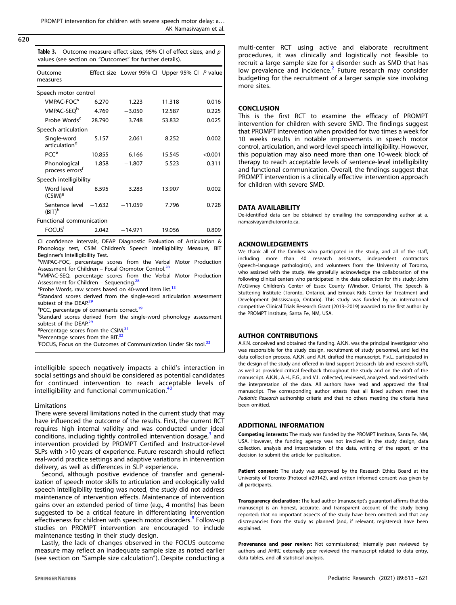PROMPT intervention for children with severe speech motor delay: a... AK Namasivayam et al.

<span id="page-7-0"></span>620

| Table 3. Outcome measure effect sizes, 95% CI of effect sizes, and p<br>values (see section on "Outcomes" for further details). |          |           |                                               |         |  |  |  |  |
|---------------------------------------------------------------------------------------------------------------------------------|----------|-----------|-----------------------------------------------|---------|--|--|--|--|
| Outcome<br>measures                                                                                                             |          |           | Effect size Lower 95% CI Upper 95% CI P value |         |  |  |  |  |
| Speech motor control                                                                                                            |          |           |                                               |         |  |  |  |  |
| VMPAC-FOC <sup>a</sup>                                                                                                          | 6.270    | 1.223     | 11.318                                        | 0.016   |  |  |  |  |
| VMPAC-SEO <sup>b</sup>                                                                                                          | 4.769    | $-3.050$  | 12.587                                        | 0.225   |  |  |  |  |
| Probe Words <sup>c</sup>                                                                                                        | 28.790   | 3.748     | 53.832                                        | 0.025   |  |  |  |  |
| Speech articulation                                                                                                             |          |           |                                               |         |  |  |  |  |
| Single-word<br>articulation <sup>d</sup>                                                                                        | 5.157    | 2.061     | 8.252                                         | 0.002   |  |  |  |  |
| PCC <sup>e</sup>                                                                                                                | 10.855   | 6.166     | 15.545                                        | < 0.001 |  |  |  |  |
| Phonological<br>process errors <sup>t</sup>                                                                                     | 1.858    | $-1.807$  | 5.523                                         | 0.311   |  |  |  |  |
| Speech intelligibility                                                                                                          |          |           |                                               |         |  |  |  |  |
| Word level<br>$(CSIM)^{g}$                                                                                                      | 8.595    | 3.283     | 13.907                                        | 0.002   |  |  |  |  |
| Sentence level<br>$(BIT)^h$                                                                                                     | $-1.632$ | $-11.059$ | 7.796                                         | 0.728   |  |  |  |  |
| <b>Functional communication</b>                                                                                                 |          |           |                                               |         |  |  |  |  |
| <b>FOCUS</b>                                                                                                                    | 2.042    | $-14.971$ | 19.056                                        | 0.809   |  |  |  |  |

CI confidence intervals, DEAP Diagnostic Evaluation of Articulation & Phonology test, CSIM Children's Speech Intelligibility Measure, BIT Beginner's Intelligibility Test.

VMPAC-FOC, percentage scores from the Verbal Motor Production Assessment for Children – Focal Oromotor Control.<sup>[28](#page-8-0)</sup>

<sup>b</sup>VMPAC-SEQ, percentage scores from the Verbal Motor Production Assessment for Children – Sequencing.<sup>28</sup>

<sup>c</sup>Probe Words, raw scores based on 40-word item list.<sup>[13](#page-8-0)</sup>

<sup>d</sup>Standard scores derived from the single-word articulation assessment subtest of the DEAP<sup>[29](#page-8-0)</sup>

<sup>e</sup>PCC, percentage of consonants correct.<sup>19</sup>

<sup>f</sup>Standard scores derived from the single-word phonology assessment subtest of the DEAP.<sup>[29](#page-8-0)</sup>

<sup>9</sup>Percentage scores from the CSIM.<sup>31</sup>

h Percentage scores from the BIT.<sup>32</sup>

FOCUS, Focus on the Outcomes of Communication Under Six tool.<sup>[33](#page-8-0)</sup>

intelligible speech negatively impacts a child's interaction in social settings and should be considered as potential candidates for continued intervention to reach acceptable levels of intelligibility and functional communication.<sup>4</sup>

#### Limitations

There were several limitations noted in the current study that may have influenced the outcome of the results. First, the current RCT requires high internal validity and was conducted under ideal conditions, including tightly controlled intervention dosage, $3$  and intervention provided by PROMPT Certified and Instructor-level SLPs with >10 years of experience. Future research should reflect real-world practice settings and adaptive variations in intervention delivery, as well as differences in SLP experience.

Second, although positive evidence of transfer and generalization of speech motor skills to articulation and ecologically valid speech intelligibility testing was noted, the study did not address maintenance of intervention effects. Maintenance of intervention gains over an extended period of time (e.g., 4 months) has been suggested to be a critical feature in differentiating intervention effectiveness for children with speech motor disorders.<sup>[8](#page-8-0)</sup> Follow-up studies on PROMPT intervention are encouraged to include maintenance testing in their study design.

Lastly, the lack of changes observed in the FOCUS outcome measure may reflect an inadequate sample size as noted earlier (see section on "Sample size calculation"). Despite conducting a

multi-center RCT using active and elaborate recruitment procedures, it was clinically and logistically not feasible to recruit a large sample size for a disorder such as SMD that has low prevalence and incidence.<sup>[2](#page-8-0)</sup> Future research may consider budgeting for the recruitment of a larger sample size involving more sites.

## **CONCLUSION**

This is the first RCT to examine the efficacy of PROMPT intervention for children with severe SMD. The findings suggest that PROMPT intervention when provided for two times a week for 10 weeks results in notable improvements in speech motor control, articulation, and word-level speech intelligibility. However, this population may also need more than one 10-week block of therapy to reach acceptable levels of sentence-level intelligibility and functional communication. Overall, the findings suggest that PROMPT intervention is a clinically effective intervention approach for children with severe SMD.

## DATA AVAILABILITY

De-identified data can be obtained by emailing the corresponding author at a. namasivayam@utoronto.ca.

## ACKNOWLEDGEMENTS

We thank all of the families who participated in the study, and all of the staff, including more than 40 research assistants, independent contractors (speech–language pathologists), and volunteers from the University of Toronto, who assisted with the study. We gratefully acknowledge the collaboration of the following clinical centers who participated in the data collection for this study: John McGivney Children's Center of Essex County (Windsor, Ontario), The Speech & Stuttering Institute (Toronto, Ontario), and Erinoak Kids Center for Treatment and Development (Mississauga, Ontario). This study was funded by an international competitive Clinical Trials Research Grant (2013–2019) awarded to the first author by the PROMPT Institute, Santa Fe, NM, USA.

## AUTHOR CONTRIBUTIONS

A.K.N. conceived and obtained the funding. A.K.N. was the principal investigator who was responsible for the study design, recruitment of study personnel, and led the data collection process. A.K.N. and A.H. drafted the manuscript. P.v.L. participated in the design of the study and offered in-kind support (research lab and research staff), as well as provided critical feedback throughout the study and on the draft of the manuscript. A.K.N., A.H., F.G., and V.L. collected, reviewed, analyzed. and assisted with the interpretation of the data. All authors have read and approved the final manuscript. The corresponding author attests that all listed authors meet the Pediatric Research authorship criteria and that no others meeting the criteria have been omitted.

## ADDITIONAL INFORMATION

Competing interests: The study was funded by the PROMPT Institute, Santa Fe, NM, USA. However, the funding agency was not involved in the study design, data collection, analysis and interpretation of the data, writing of the report, or the decision to submit the article for publication.

Patient consent: The study was approved by the Research Ethics Board at the University of Toronto (Protocol #29142), and written informed consent was given by all participants.

Transparency declaration: The lead author (manuscript's guarantor) affirms that this manuscript is an honest, accurate, and transparent account of the study being reported; that no important aspects of the study have been omitted; and that any discrepancies from the study as planned (and, if relevant, registered) have been explained.

Provenance and peer review: Not commissioned; internally peer reviewed by authors and AHRC externally peer reviewed the manuscript related to data entry, data tables, and all statistical analysis.